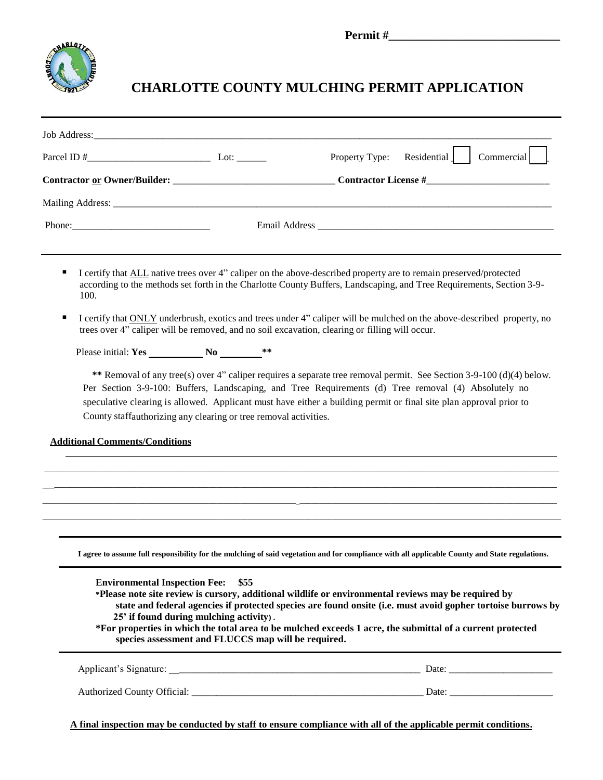

## **CHARLOTTE COUNTY MULCHING PERMIT APPLICATION**

|  |                                                                                                                           |  | Property Type: Residential   Commercial                                                                                |
|--|---------------------------------------------------------------------------------------------------------------------------|--|------------------------------------------------------------------------------------------------------------------------|
|  |                                                                                                                           |  |                                                                                                                        |
|  |                                                                                                                           |  |                                                                                                                        |
|  |                                                                                                                           |  |                                                                                                                        |
|  |                                                                                                                           |  |                                                                                                                        |
|  | I certify that ALL native trees over 4" caliper on the above-described property are to remain preserved/protected<br>100. |  | according to the methods set forth in the Charlotte County Buffers, Landscaping, and Tree Requirements, Section 3-9-   |
|  | trees over 4" caliper will be removed, and no soil excavation, clearing or filling will occur.                            |  | I certify that ONLY underbrush, exotics and trees under 4" caliper will be mulched on the above-described property, no |
|  |                                                                                                                           |  |                                                                                                                        |

**\*\*** Removal of any tree(s) over 4" caliper requires a separate tree removal permit. See Section 3-9-100 (d)(4) below. Per Section 3-9-100: Buffers, Landscaping, and Tree Requirements (d) Tree removal (4) Absolutely no speculative clearing is allowed. Applicant must have either a building permit or final site plan approval prior to County staffauthorizing any clearing or tree removal activities.

**Additional Comments/Conditions**

**I agree to assume full responsibility for the mulching of said vegetation and for compliance with all applicable County and State regulations.** 

 $\_$  , and the state of the state of the state of the state of the state of the state of the state of the state of the state of the state of the state of the state of the state of the state of the state of the state of the  $\ldots$  , and the state of the state of the state of the state of the state of the state of the state of the state of the state of the state of the state of the state of the state of the state of the state of the state of t \_\_\_\_\_\_\_\_\_\_\_\_\_\_\_\_\_\_\_\_\_\_\_\_\_\_\_\_\_\_\_\_\_\_\_\_\_\_\_\_\_\_\_\_\_\_\_\_\_\_\_\_\_\_\_\_\_\_\_\_\_\_\_\_\_\_\_\_\_\_\_\_\_\_\_\_\_\_\_\_\_\_\_\_\_\_\_\_\_\_\_\_\_\_\_\_\_\_\_\_\_\_\_\_\_\_\_\_\_\_\_\_\_\_\_\_\_\_\_\_\_\_\_\_\_\_\_\_\_\_ \_\_\_\_\_\_\_\_\_\_\_\_\_\_\_\_\_\_\_\_\_\_\_\_\_\_\_\_\_\_\_\_\_\_\_\_\_\_\_\_\_\_\_\_\_\_\_\_\_\_\_\_\_\_\_\_\_\_\_\_\_\_\_\_\_\_\_\_\_\_\_\_\_\_\_\_\_\_\_\_\_\_\_\_\_\_\_\_\_\_\_\_\_\_\_\_\_\_\_\_\_\_\_\_\_\_\_\_\_\_\_\_\_\_\_\_\_\_\_\_\_\_\_\_\_\_\_\_\_\_\_

**Environmental Inspection Fee: \$55 \*Please note site review is cursory, additional wildlife or environmental reviews may be required by state and federal agencies if protected species are found onsite (i.e. must avoid gopher tortoise burrows by 25' if found during mulching activity) . \*For properties in which the total area to be mulched exceeds 1 acre, the submittal of a current protected species assessment and FLUCCS map will be required.** Applicant's Signature: \_\_\_\_\_\_\_\_\_\_\_\_\_\_\_\_\_\_\_\_\_\_\_\_\_\_\_\_\_\_\_\_\_\_\_\_\_\_\_\_\_\_\_\_\_\_\_\_\_\_\_ Date: \_\_\_\_\_\_\_\_\_\_\_\_\_\_\_\_\_\_\_\_\_

Authorized County Official: \_\_\_\_\_\_\_\_\_\_\_\_\_\_\_\_\_\_\_\_\_\_\_\_\_\_\_\_\_\_\_\_\_\_\_\_\_\_\_\_\_\_\_\_\_\_\_ Date: \_\_\_\_\_\_\_\_\_\_\_\_\_\_\_\_\_\_\_\_\_

**A final inspection may be conducted by staff to ensure compliance with all of the applicable permit conditions.**